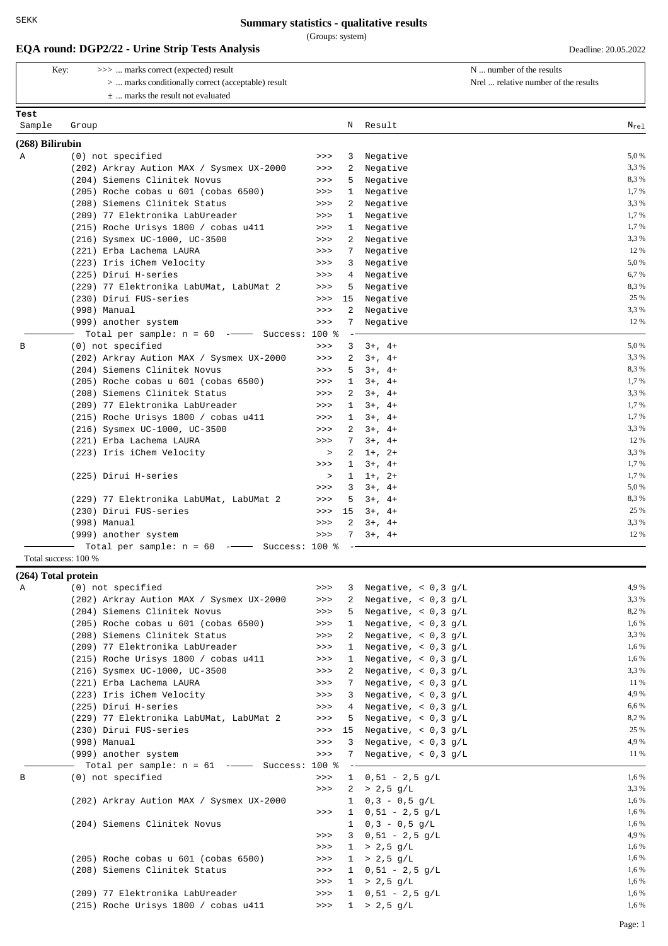Key: >>> ... marks correct (expected) result  $N$  ... number of the results

(Groups: system)

#### **EQA round: DGP2/22 - Urine Strip Tests Analysis** Deadline: 20.05.2022

(215) Roche Urisys  $1800 / \cosh 411$  >>>

|                     | >  marks conditionally correct (acceptable) result               |              |              |                                                | Nrel  relative number of the results |
|---------------------|------------------------------------------------------------------|--------------|--------------|------------------------------------------------|--------------------------------------|
|                     | $\pm$ marks the result not evaluated                             |              |              |                                                |                                      |
| Test                |                                                                  |              |              |                                                |                                      |
| Sample              | Group                                                            |              | Ν            | Result                                         | $N_{\text{rel}}$                     |
| (268) Bilirubin     |                                                                  |              |              |                                                |                                      |
| Α                   | (0) not specified                                                | >>           | 3            | Negative                                       | 5,0%                                 |
|                     | (202) Arkray Aution MAX / Sysmex UX-2000                         | >>           | 2            | Negative                                       | 3,3 %                                |
|                     | (204) Siemens Clinitek Novus                                     | >>           | 5            | Negative                                       | 8,3%                                 |
|                     | (205) Roche cobas u 601 (cobas 6500)                             | >>           | 1            | Negative                                       | 1,7 %                                |
|                     | (208) Siemens Clinitek Status<br>(209) 77 Elektronika LabUreader | >>           | 2            | Negative<br>Negative                           | 3,3 %<br>1,7 %                       |
|                     | (215) Roche Urisys 1800 / cobas u411                             | >><br>>>     | 1<br>1       | Negative                                       | 1,7 %                                |
|                     | (216) Sysmex UC-1000, UC-3500                                    | >>           | 2            | Negative                                       | 3,3 %                                |
|                     | (221) Erba Lachema LAURA                                         | >>           | 7            | Negative                                       | 12 %                                 |
|                     | (223) Iris iChem Velocity                                        | >>           | 3            | Negative                                       | 5,0%                                 |
|                     | (225) Dirui H-series                                             | >>           | 4            | Negative                                       | 6,7%                                 |
|                     | (229) 77 Elektronika LabUMat, LabUMat 2                          | >>           | 5            | Negative                                       | 8,3%                                 |
|                     | (230) Dirui FUS-series                                           | >>           | 15           | Negative                                       | 25 %                                 |
|                     | (998) Manual                                                     | >>           | 2            | Negative                                       | 3,3 %                                |
|                     | (999) another system                                             | >>           | 7            | Negative                                       | 12 %                                 |
|                     | Total per sample: $n = 60$ -- Success: 100 %                     |              |              |                                                |                                      |
| B                   | (0) not specified                                                | >>           | 3            | $3+, 4+$                                       | 5,0%                                 |
|                     | (202) Arkray Aution MAX / Sysmex UX-2000                         | >>           | 2            | $3+, 4+$                                       | 3,3 %                                |
|                     | (204) Siemens Clinitek Novus                                     | >>           | 5            | $3+, 4+$                                       | 8,3%                                 |
|                     | (205) Roche cobas u 601 (cobas 6500)                             | >>           | 1            | $3+, 4+$                                       | 1,7%                                 |
|                     | (208) Siemens Clinitek Status                                    | >>           | 2            | $3+, 4+$                                       | 3,3 %                                |
|                     | (209) 77 Elektronika LabUreader                                  | >>           | 1            | $3+, 4+$                                       | 1,7%                                 |
|                     | (215) Roche Urisys 1800 / cobas u411                             | >>           | 1            | $3+, 4+$                                       | 1,7 %                                |
|                     | (216) Sysmex UC-1000, UC-3500                                    | >>           | 2            | $3+, 4+$                                       | 3,3 %                                |
|                     | (221) Erba Lachema LAURA                                         | >>           | 7            | $3+, 4+$                                       | 12 %<br>3,3 %                        |
|                     | (223) Iris iChem Velocity                                        | $\, >$<br>>> | 2<br>1       | $1+, 2+$<br>$3+, 4+$                           | 1,7 %                                |
|                     | (225) Dirui H-series                                             | $\, >$       | 1            | $1+, 2+$                                       | 1,7 %                                |
|                     |                                                                  | >>           | 3            | $3+, 4+$                                       | 5,0%                                 |
|                     | (229) 77 Elektronika LabUMat, LabUMat 2                          | >>           | 5            | $3+, 4+$                                       | 8,3%                                 |
|                     | (230) Dirui FUS-series                                           | >>           | 15           | $3+, 4+$                                       | 25 %                                 |
|                     | (998) Manual                                                     | >>           | 2            | $3+, 4+$                                       | 3,3 %                                |
|                     | (999) another system                                             | >>           | 7            | $3+, 4+$                                       | 12 %                                 |
|                     | Total per sample: $n = 60$ -- Success: 100 %                     |              |              |                                                |                                      |
|                     | Total success: 100 %                                             |              |              |                                                |                                      |
| (264) Total protein |                                                                  |              |              |                                                |                                      |
| Α                   | (0) not specified                                                | >>           | 3            | Negative, $< 0.3$ g/L                          | 4,9%                                 |
|                     | (202) Arkray Aution MAX / Sysmex UX-2000                         | >>           |              | Negative, $< 0.3$ g/L                          | 3,3 %                                |
|                     | (204) Siemens Clinitek Novus                                     | >>           | 5            | Negative, $< 0.3$ g/L                          | 8,2%                                 |
|                     | (205) Roche cobas u 601 (cobas 6500)                             | >>           | $\mathbf{1}$ | Negative, $< 0.3$ g/L                          | 1,6 %                                |
|                     | (208) Siemens Clinitek Status                                    | >>           | $\mathbf{2}$ | Negative, $< 0.3$ g/L                          | 3,3 %                                |
|                     | (209) 77 Elektronika LabUreader                                  | >>           |              | 1 Negative, $< 0.3$ g/L                        | 1,6 %                                |
|                     | (215) Roche Urisys 1800 / cobas u411                             | >>           | $\mathbf{1}$ | Negative, $< 0.3$ g/L                          | 1,6 %                                |
|                     | (216) Sysmex UC-1000, UC-3500                                    | >>           | $2^{\circ}$  | Negative, $< 0.3$ g/L                          | 3,3 %<br>11 %                        |
|                     | (221) Erba Lachema LAURA<br>(223) Iris iChem Velocity            | >><br>>>     | 7<br>3       | Negative, $< 0.3$ g/L                          | 4,9%                                 |
|                     | (225) Dirui H-series                                             | >>           | 4            | Negative, $< 0.3$ g/L<br>Negative, $< 0.3$ g/L | 6,6 %                                |
|                     | (229) 77 Elektronika LabUMat, LabUMat 2                          | $>>>$        | 5            | Negative, $< 0.3$ g/L                          | 8,2%                                 |
|                     | (230) Dirui FUS-series                                           | >>           | 15           | Negative, $< 0.3$ g/L                          | 25 %                                 |
|                     | (998) Manual                                                     | >>           | 3            | Negative, $< 0.3$ g/L                          | 4,9%                                 |
|                     | (999) another system                                             | >>           | 7            | Negative, $< 0.3$ g/L                          | 11 %                                 |
|                     | Total per sample: $n = 61$ -- Success: 100 %                     |              |              |                                                |                                      |
| В                   | (0) not specified                                                | >>           |              | $1 \t0,51 - 2,5 g/L$                           | 1,6 %                                |
|                     |                                                                  | >>           |              | 2 > 2,5 g/L                                    | 3,3 %                                |
|                     | (202) Arkray Aution MAX / Sysmex UX-2000                         |              | 1            | $0,3 - 0,5 g/L$                                | 1,6 %                                |
|                     |                                                                  | >>           | $\mathbf{1}$ | $0,51 - 2,5$ g/L                               | 1,6 %                                |
|                     | (204) Siemens Clinitek Novus                                     |              | $\mathbf{1}$ | $0,3 - 0,5 g/L$                                | 1,6 %                                |

(205) Roche cobas u 601 (cobas 6500)  $\Rightarrow$   $\frac{1}{2}$   $\Rightarrow$  2,5 g/L 1,6% (208) Siemens Clinitek Status  $\frac{16\%}{100}$   $\frac{1}{2}$   $\frac{1}{2}$   $\frac{1}{5}$   $\frac{1}{6}\%$   $\frac{1}{6}\%$ 

(209) 77 Elektronika LabUreader >>> 1 0,51 - 2,5 g/L 1,6 %

Page: 1

 $\Rightarrow$  3 0,51 - 2,5 g/L 4,9% >>> 1 > 2,5 g/L 1,6%<br>
>>> 1 > 2,5 g/L 1,6%

>>> 1 > 2,5 g/L 1,6 %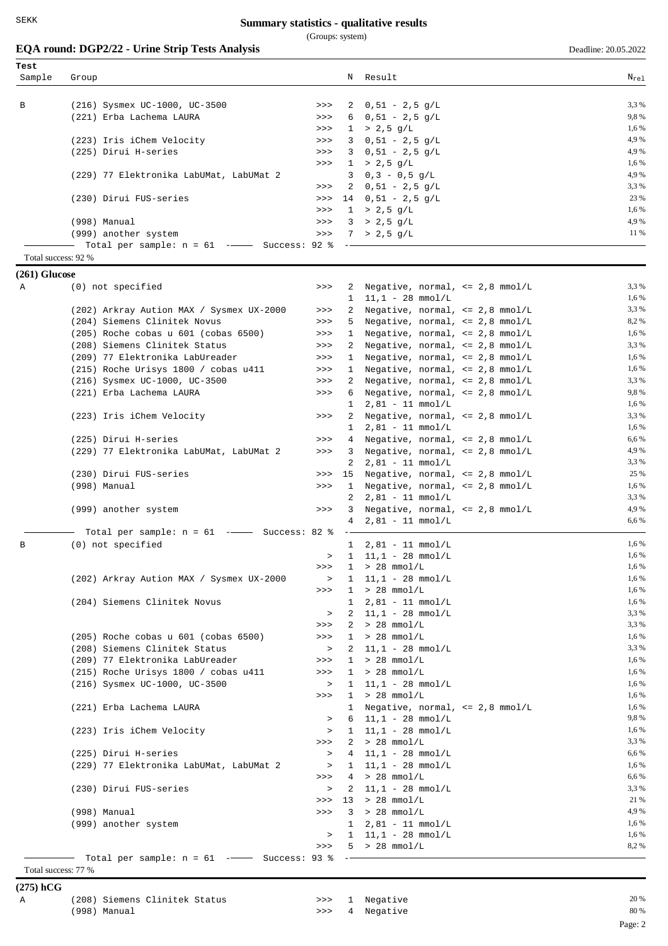(Groups: system)

|                                                 | $\sigma$             |
|-------------------------------------------------|----------------------|
| EQA round: DGP2/22 - Urine Strip Tests Analysis | Deadline: 20.05.2022 |

| Test<br>Sample      | Group |                                             |               | Ν              | Result                                  | $N_{re1}$ |
|---------------------|-------|---------------------------------------------|---------------|----------------|-----------------------------------------|-----------|
|                     |       |                                             |               |                |                                         |           |
| В                   |       | (216) Sysmex UC-1000, UC-3500               | >>            |                | $2 \t0,51 - 2,5 g/L$                    | 3,3 %     |
|                     |       | (221) Erba Lachema LAURA                    | >>            |                | 6 $0,51 - 2,5$ g/L                      | 9,8%      |
|                     |       |                                             | >>>           |                | $1 > 2,5$ g/L                           | 1,6 %     |
|                     |       | (223) Iris iChem Velocity                   | >>>           |                | 3 $0,51 - 2,5$ g/L                      | 4,9%      |
|                     |       | (225) Dirui H-series                        | >>            |                | 3 $0,51 - 2,5$ g/L                      | 4,9%      |
|                     |       |                                             | >>            |                | $1 > 2,5$ g/L                           | 1,6 %     |
|                     |       | (229) 77 Elektronika LabUMat, LabUMat 2     |               |                | $3 \t0, 3 - 0, 5 g/L$                   | 4,9%      |
|                     |       |                                             | >>            |                | $2 \t0,51 - 2,5 g/L$                    | 3,3 %     |
|                     |       | (230) Dirui FUS-series                      | >>            |                | $14$ 0,51 - 2,5 g/L                     | 23 %      |
|                     |       |                                             | >>>           |                | $1 > 2,5$ g/L                           | 1,6 %     |
|                     |       | (998) Manual                                | >>>           |                | $3 > 2,5$ g/L                           | 4,9%      |
|                     |       | (999) another system                        | >>            |                | $7 > 2,5$ g/L                           | 11 %      |
|                     |       | Total per sample: $n = 61$ -- Success: 92 % |               |                |                                         |           |
| Total success: 92 % |       |                                             |               |                |                                         |           |
| $(261)$ Glucose     |       |                                             |               |                |                                         |           |
| Α                   |       | (0) not specified                           | >>            | $\mathbf{2}$   | Negative, normal, $\leq$ 2,8 mmol/L     | 3,3 %     |
|                     |       |                                             |               | 1              | $11, 1 - 28$ mmol/L                     | 1,6 %     |
|                     |       |                                             |               |                |                                         | 3,3 %     |
|                     |       | (202) Arkray Aution MAX / Sysmex UX-2000    | >>            |                | 2 Negative, normal, <= 2,8 mmol/L       |           |
|                     |       | (204) Siemens Clinitek Novus                | >>            | 5              | Negative, normal, $\leq$ 2,8 mmol/L     | 8,2%      |
|                     |       | (205) Roche cobas u 601 (cobas 6500)        | >>            | $\mathbf{1}$   | Negative, normal, $\leq$ 2,8 mmol/L     | 1,6 %     |
|                     |       | (208) Siemens Clinitek Status               | >>            | 2              | Negative, normal, $\leq$ 2,8 mmol/L     | 3,3%      |
|                     |       | (209) 77 Elektronika LabUreader             | >>            | 1              | Negative, normal, $\leq$ 2,8 mmol/L     | 1,6 %     |
|                     |       | (215) Roche Urisys 1800 / cobas u411        | $>>>$         | 1              | Negative, normal, $\leq$ 2,8 mmol/L     | 1,6 %     |
|                     |       | (216) Sysmex UC-1000, UC-3500               | >>            | $\mathbf{2}$   | Negative, normal, $\leq$ 2,8 mmol/L     | 3,3 %     |
|                     |       | (221) Erba Lachema LAURA                    | >>            | 6              | Negative, normal, $\leq$ 2,8 mmol/L     | 9,8%      |
|                     |       |                                             |               |                | $1 \quad 2,81 - 11 \quad \text{mmol/L}$ | 1,6 %     |
|                     |       | (223) Iris iChem Velocity                   | >>            |                | 2 Negative, normal, <= 2,8 mmol/L       | 3,3 %     |
|                     |       |                                             |               | $\mathbf{1}$   | $2,81 - 11$ mmol/L                      | 1,6 %     |
|                     |       | (225) Dirui H-series                        | >>            | $4\phantom{0}$ | Negative, normal, $\leq$ 2,8 mmol/L     | 6,6 %     |
|                     |       |                                             | >>            |                | 3 Negative, normal, $\leq$ 2,8 mmol/L   | 4,9%      |
|                     |       | (229) 77 Elektronika LabUMat, LabUMat 2     |               |                |                                         | 3,3 %     |
|                     |       |                                             |               |                | $2$ $2,81 - 11$ mmol/L                  |           |
|                     |       | (230) Dirui FUS-series                      | >>            | 15             | Negative, normal, $\leq$ 2,8 mmol/L     | 25 %      |
|                     |       | (998) Manual                                | >>            | $\mathbf{1}$   | Negative, normal, $\leq$ 2,8 mmol/L     | 1,6 %     |
|                     |       |                                             |               |                | $2, 81 - 11$ mmol/L                     | 3,3 %     |
|                     |       | (999) another system                        | >>            | 3              | Negative, normal, $\leq$ 2,8 mmol/L     | 4,9%      |
|                     |       |                                             |               | 4              | $2,81 - 11$ mmol/L                      | 6,6 %     |
|                     |       | Total per sample: $n = 61$ -- Success: 82 % |               |                |                                         | 1,6 %     |
| В                   |       | (0) not specified                           |               |                | $1 \quad 2,81 - 11 \quad \text{mmol/L}$ |           |
|                     |       |                                             | $\, >$        |                | $1 \quad 11,1 - 28 \quad \text{mmol/L}$ | 1,6 %     |
|                     |       |                                             | >>>           |                | > 28 mmol/L                             | 1,6%      |
|                     |       | (202) Arkray Aution MAX / Sysmex UX-2000    | $\, >$        | 1              | $11,1 - 28$ mmol/L                      | 1,6 %     |
|                     |       |                                             | >>            |                | $1 > 28$ mmol/L                         | 1,6 %     |
|                     |       | (204) Siemens Clinitek Novus                |               | $\mathbf{1}$   | $2,81 - 11$ mmol/L                      | 1,6 %     |
|                     |       |                                             | $\geq$        |                | $2 \quad 11,1 - 28 \quad \text{mmol/L}$ | 3,3 %     |
|                     |       |                                             | >>            |                | $2 > 28$ mmol/L                         | 3,3 %     |
|                     |       | (205) Roche cobas u 601 (cobas 6500)        | >>            |                | $1 > 28$ mmol/L                         | 1,6 %     |
|                     |       | (208) Siemens Clinitek Status               | $\geq$        |                | $2 \quad 11,1 - 28 \quad \text{mmol/L}$ | 3,3%      |
|                     |       | (209) 77 Elektronika LabUreader             | >>            |                | $1 > 28$ mmol/L                         | 1,6 %     |
|                     |       | (215) Roche Urisys 1800 / cobas u411        | >>            |                | $1 > 28$ mmol/L                         | 1,6 %     |
|                     |       |                                             | $\rightarrow$ |                | $1 \quad 11.1 - 28 \quad \text{mmol/L}$ | 1,6 %     |
|                     |       | (216) Sysmex UC-1000, UC-3500               |               |                |                                         |           |
|                     |       |                                             | >>            |                | $1 > 28$ mmol/L                         | 1,6 %     |
|                     |       | (221) Erba Lachema LAURA                    |               |                | 1 Negative, normal, <= 2,8 mmol/L       | 1,6 %     |
|                     |       |                                             | $\, >$        |                | $6$ 11,1 - 28 mmol/L                    | 9,8%      |
|                     |       | (223) Iris iChem Velocity                   | $\, >$        |                | $1 \quad 11,1 - 28 \quad \text{mmol/L}$ | 1,6 %     |
|                     |       |                                             | >>            |                | $2 > 28$ mmol/L                         | 3,3 %     |
|                     |       | (225) Dirui H-series                        | $\, >$        |                | $4$ 11,1 - 28 mmol/L                    | 6,6 %     |
|                     |       | (229) 77 Elektronika LabUMat, LabUMat 2     | $\, >$        |                | $1 \quad 11,1 - 28 \quad \text{mmol/L}$ | 1,6 %     |
|                     |       |                                             | >>            |                | $4 > 28$ mmol/L                         | 6,6 %     |
|                     |       | (230) Dirui FUS-series                      | $\,>$         |                | $2 \quad 11,1 - 28 \quad \text{mmol/L}$ | 3,3 %     |
|                     |       |                                             |               |                | >>> $13$ > $28$ mmol/L                  | 21 %      |
|                     |       | (998) Manual                                | >>            |                | $3 > 28$ mmol/L                         | 4,9%      |
|                     |       | (999) another system                        |               |                | $1 \quad 2,81 - 11 \quad \text{mmol/L}$ | 1,6 %     |
|                     |       |                                             |               |                |                                         | 1,6 %     |
|                     |       |                                             | $\geq$        |                | $1 \quad 11,1 - 28 \quad \text{mmol/L}$ | 8,2%      |
|                     |       |                                             | >>            |                | $5 > 28$ mmol/L                         |           |

**(275) hCG**

A (208) Siemens Clinitek Status >>> 1 Negative 20 % (998) Manual  $\longrightarrow$  30 % and 80 % and 80 % and 80 % and 80 % and 80 % and 80 % and 80 % and 80 % and 80 % and 80 % and 80 % and 80 % and 80 % and 80 % and 80 % and 80 % and 80 % and 80 % and 80 % and 80 % and 80 % and 80 % a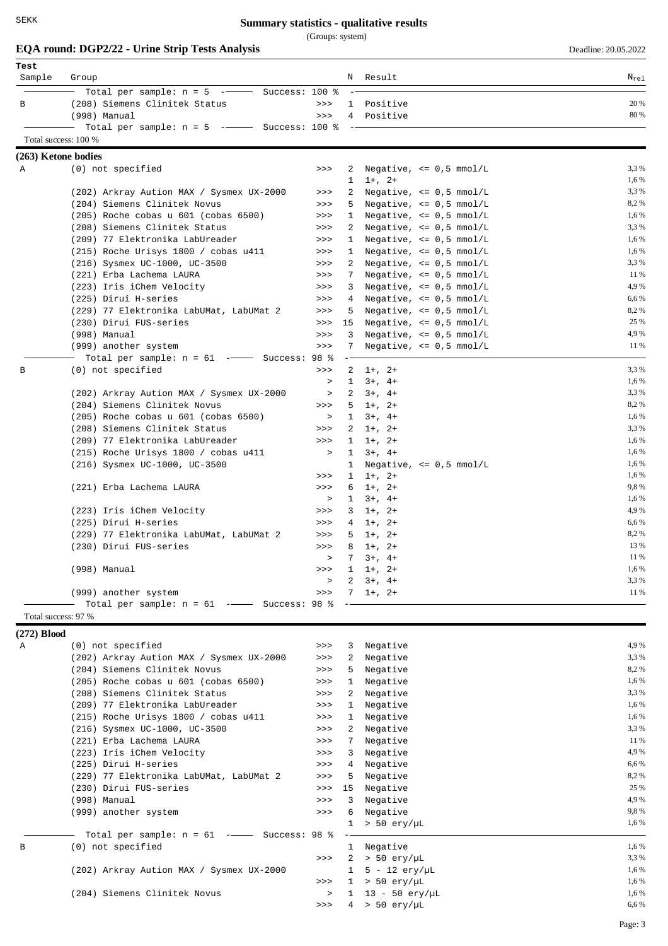(Groups: system)

|                     | EQA round: DGP2/22 - Urine Strip Tests Analysis                          |                 |                              |                                                            | Deadline: 20.05.2022 |
|---------------------|--------------------------------------------------------------------------|-----------------|------------------------------|------------------------------------------------------------|----------------------|
| Test<br>Sample      | Group                                                                    |                 | N                            | Result                                                     | $N_{re1}$            |
|                     | Total per sample: $n = 5$ -<br>Success: 100 %                            |                 |                              |                                                            |                      |
| В                   | (208) Siemens Clinitek Status<br>(998) Manual                            | >><br>>>        | $\mathbf{1}$<br>4            | Positive<br>Positive                                       | 20 %<br>80 %         |
|                     | Total per sample: $n = 5$ ----<br>Success: 100 %                         |                 |                              |                                                            |                      |
|                     | Total success: 100 %                                                     |                 |                              |                                                            |                      |
|                     | (263) Ketone bodies                                                      |                 |                              |                                                            |                      |
| Α                   | (0) not specified                                                        | >>              | 2                            | Negative, $\leq 0.5$ mmol/L                                | 3,3 %                |
|                     |                                                                          |                 |                              | $1 \t1+$ , $2+$                                            | 1,6 %                |
|                     | (202) Arkray Aution MAX / Sysmex UX-2000                                 | >>              | 2                            | Negative, $\leq 0.5$ mmol/L                                | 3,3 %                |
|                     | (204) Siemens Clinitek Novus                                             | >>              | 5                            | Negative, $\leq 0.5$ mmol/L                                | 8,2%<br>1,6 %        |
|                     | (205) Roche cobas u 601 (cobas 6500)<br>(208) Siemens Clinitek Status    | $>>>$<br>$>>>$  | $\mathbf{1}$<br>$\mathbf{2}$ | Negative, $\leq 0.5$ mmol/L<br>Negative, $\leq 0.5$ mmol/L | 3,3 %                |
|                     | (209) 77 Elektronika LabUreader                                          | $>>>$           | $\mathbf{1}$                 | Negative, $\leq 0.5$ mmol/L                                | 1,6 %                |
|                     | (215) Roche Urisys 1800 / cobas u411                                     | $>>>$           | $\mathbf{1}$                 | Negative, $\leq 0.5$ mmol/L                                | 1,6 %                |
|                     | (216) Sysmex UC-1000, UC-3500                                            | $>>>$           | 2                            | Negative, $\leq 0.5$ mmol/L                                | 3,3 %                |
|                     | (221) Erba Lachema LAURA                                                 | $>>>$           | 7                            | Negative, $\leq 0.5$ mmol/L                                | 11 %                 |
|                     | (223) Iris iChem Velocity                                                | $>>>$           | 3                            | Negative, $\leq 0.5$ mmol/L                                | 4,9%                 |
|                     | (225) Dirui H-series<br>(229) 77 Elektronika LabUMat, LabUMat 2          | >><br>>>        | 4<br>5                       | Negative, $\leq 0.5$ mmol/L<br>Negative, $\leq 0.5$ mmol/L | 6,6 %<br>8,2%        |
|                     | (230) Dirui FUS-series                                                   | $>>>$           | 15                           | Negative, $\leq 0.5$ mmol/L                                | 25 %                 |
|                     | (998) Manual                                                             | >>              | 3                            | Negative, $\leq 0.5$ mmol/L                                | 4,9%                 |
|                     | (999) another system                                                     | >>              | 7                            | Negative, $\leq 0.5$ mmol/L                                | 11 %                 |
|                     | Total per sample: $n = 61$ -- Success: 98 %                              |                 |                              |                                                            |                      |
| В                   | (0) not specified                                                        | >>              | 2                            | $1+$ , 2+                                                  | 3,3 %                |
|                     |                                                                          | $\, >$          | $\mathbf{1}$                 | $3+, 4+$                                                   | 1,6 %<br>3,3 %       |
|                     | (202) Arkray Aution MAX / Sysmex UX-2000<br>(204) Siemens Clinitek Novus | $\, > \,$<br>>> | 2<br>5                       | $3+, 4+$<br>$1+, 2+$                                       | 8,2%                 |
|                     | (205) Roche cobas u 601 (cobas 6500)                                     | $\, >$          | 1                            | $3+, 4+$                                                   | 1,6 %                |
|                     | (208) Siemens Clinitek Status                                            | >>              | 2                            | $1+, 2+$                                                   | 3,3 %                |
|                     | (209) 77 Elektronika LabUreader                                          | >>              |                              | $1 \t1+$ , $2+$                                            | 1,6 %                |
|                     | (215) Roche Urisys 1800 / cobas u411                                     | $\geq$          | 1                            | $3+, 4+$                                                   | 1,6 %                |
|                     | (216) Sysmex UC-1000, UC-3500                                            |                 | $\mathbf{1}$                 | Negative, $\leq 0.5$ mmol/L                                | 1,6 %<br>1,6 %       |
|                     | (221) Erba Lachema LAURA                                                 | >><br>>>        | 6                            | $1 \t1+$ , $2+$<br>$1+$ , 2+                               | 9,8%                 |
|                     |                                                                          | $\, >$          | 1                            | $3+, 4+$                                                   | 1,6 %                |
|                     | (223) Iris iChem Velocity                                                | $>>>$           |                              | $3 \t1+$ , $2+$                                            | 4,9%                 |
|                     | (225) Dirui H-series                                                     | >>              | 4                            | $1+$ , 2+                                                  | 6,6%                 |
|                     | (229) 77 Elektronika LabUMat, LabUMat 2                                  | >>              | 5                            | $1+, 2+$                                                   | 8,2%                 |
|                     | (230) Dirui FUS-series                                                   | >>><br>$\geq$   | 7                            | $1+$ , 2+<br>$3+, 4+$                                      | 13 %<br>11 %         |
|                     | (998) Manual                                                             | >>              |                              | $1 \t1+$ , $2+$                                            | 1,6 %                |
|                     |                                                                          | $\geq$          | 2                            | $3+, 4+$                                                   | 3,3 %                |
|                     | (999) another system                                                     | >>              |                              | $7 \t1+$ , 2+                                              | 11 %                 |
|                     | Total per sample: $n = 61$ -- Success: 98 %                              |                 |                              |                                                            |                      |
| Total success: 97 % |                                                                          |                 |                              |                                                            |                      |
| $(272)$ Blood       |                                                                          |                 |                              |                                                            |                      |
| Α                   | (0) not specified                                                        | >>              | 3                            | Negative                                                   | 4,9%                 |
|                     | (202) Arkray Aution MAX / Sysmex UX-2000                                 | $>>>$           | 2                            | Negative                                                   | 3,3 %                |
|                     | (204) Siemens Clinitek Novus<br>(205) Roche cobas u 601 (cobas 6500)     | $>>>$<br>$>>>$  | 5<br>$\mathbf{1}$            | Negative<br>Negative                                       | 8,2%<br>1,6 %        |
|                     | (208) Siemens Clinitek Status                                            | $>>>$           | 2                            | Negative                                                   | 3,3%                 |
|                     | (209) 77 Elektronika LabUreader                                          | $>>>$           | $\mathbf{1}$                 | Negative                                                   | 1,6 %                |
|                     | (215) Roche Urisys 1800 / cobas u411                                     | >>              | $\mathbf{1}$                 | Negative                                                   | 1,6 %                |
|                     | (216) Sysmex UC-1000, UC-3500                                            | >>              | 2                            | Negative                                                   | 3,3 %                |
|                     | (221) Erba Lachema LAURA                                                 | >>              | 7                            | Negative                                                   | 11 %                 |
|                     | (223) Iris iChem Velocity                                                | >>              | 3                            | Negative                                                   | 4,9%<br>6,6 %        |
|                     | (225) Dirui H-series<br>(229) 77 Elektronika LabUMat, LabUMat 2          | >><br>$>>>$     | 4<br>5                       | Negative<br>Negative                                       | 8,2%                 |
|                     | (230) Dirui FUS-series                                                   | >>              | 15                           | Negative                                                   | 25 %                 |
|                     | (998) Manual                                                             | $>>>$           | $\mathbf{3}$                 | Negative                                                   | 4,9%                 |
|                     | (999) another system                                                     | >>              | 6                            | Negative                                                   | 9,8%                 |
|                     |                                                                          |                 | $\mathbf{1}$                 | $> 50$ ery/µL                                              | 1,6 %                |
|                     | Total per sample: $n = 61$ -- Success: 98 %                              |                 |                              |                                                            |                      |
| В                   | (0) not specified                                                        | $>>>$           |                              | 1 Negative<br>$2 > 50$ ery/µL                              | 1,6 %<br>3,3 %       |
|                     | (202) Arkray Aution MAX / Sysmex UX-2000                                 |                 | $\mathbf{1}$                 | $5 - 12 \, \text{ery/}\mu\text{L}$                         | 1,6 %                |
|                     |                                                                          | >>              | 1                            | $> 50$ ery/µL                                              | 1,6 %                |
|                     | (204) Siemens Clinitek Novus                                             | $\, > \,$       |                              | $1 \t 13 - 50 \text{ery/}\mu L$                            | 1,6 %                |
|                     |                                                                          | $>>>$           |                              | $4 > 50$ ery/µL                                            | 6,6%                 |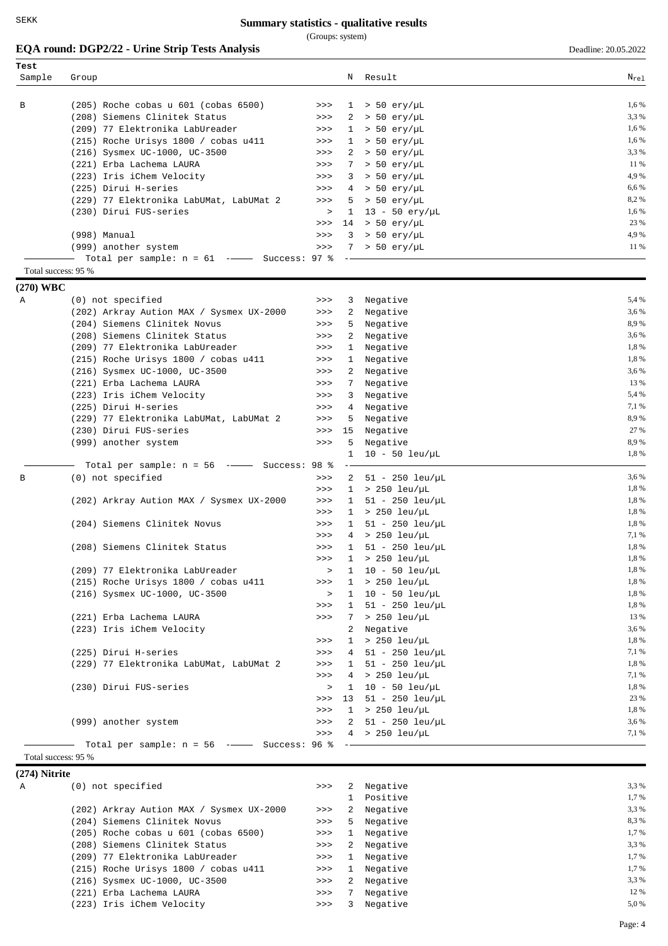(Groups: system)

# **EQA round: DGP2/22 - Urine Strip Tests Analysis** Deadline: 20.05.2022

| Test                |                                             |        |              |                                  |                  |
|---------------------|---------------------------------------------|--------|--------------|----------------------------------|------------------|
| Sample              | Group                                       |        | Ν            | Result                           | $N_{\text{rel}}$ |
|                     |                                             |        |              |                                  |                  |
|                     |                                             |        |              |                                  | 1,6 %            |
| В                   | (205) Roche cobas u 601 (cobas 6500)        | $>>>$  |              | $1 > 50$ ery/µL                  | 3,3 %            |
|                     | (208) Siemens Clinitek Status               | >>     |              | $2 > 50$ ery/µL                  | 1,6 %            |
|                     | (209) 77 Elektronika LabUreader             | >>     |              | $1 > 50$ ery/µL                  |                  |
|                     | (215) Roche Urisys 1800 / cobas u411        | >>     | $\mathbf{1}$ | $> 50~e$ ry/µL                   | 1,6 %            |
|                     | (216) Sysmex UC-1000, UC-3500               | >>     | 2            | $> 50$ ery/µL                    | 3,3 %            |
|                     | (221) Erba Lachema LAURA                    | >>     | 7            | $> 50$ ery/µL                    | 11 %             |
|                     | (223) Iris iChem Velocity                   | >>     | 3            | $> 50$ ery/uL                    | 4,9%             |
|                     | (225) Dirui H-series                        | >>     |              | $4 > 50$ ery/µL                  | 6,6 %            |
|                     | (229) 77 Elektronika LabUMat, LabUMat 2     | >>     |              | $5 > 50$ ery/µL                  | 8,2%             |
|                     | (230) Dirui FUS-series                      | $\, >$ | $\mathbf{1}$ | $13 - 50 \text{ery}/\mu\text{L}$ | 1,6 %            |
|                     |                                             | >>     | 14           | $> 50~e$ ry/µL                   | 23 %             |
|                     | (998) Manual                                | >>     | 3            | $> 50$ ery/µL                    | 4,9%             |
|                     | (999) another system                        | >>     |              | $7 > 50$ ery/µL                  | 11 %             |
|                     | Total per sample: $n = 61$ -- Success: 97 % |        |              |                                  |                  |
| Total success: 95 % |                                             |        |              |                                  |                  |
|                     |                                             |        |              |                                  |                  |
| (270) WBC           |                                             |        |              |                                  |                  |
| Α                   | (0) not specified                           | >>     | 3            | Negative                         | 5,4 %            |
|                     | (202) Arkray Aution MAX / Sysmex UX-2000    | >>     | 2            | Negative                         | 3,6 %            |
|                     | (204) Siemens Clinitek Novus                | >>     | 5            | Negative                         | 8,9%             |
|                     | (208) Siemens Clinitek Status               | >>     | 2            | Negative                         | 3,6 %            |
|                     | (209) 77 Elektronika LabUreader             | >>     | $\mathbf{1}$ | Negative                         | 1,8%             |
|                     |                                             |        |              |                                  | 1,8%             |
|                     | (215) Roche Urisys 1800 / cobas u411        | >>     | $\mathbf{1}$ | Negative                         |                  |
|                     | (216) Sysmex UC-1000, UC-3500               | >>     | 2            | Negative                         | 3,6 %            |
|                     | (221) Erba Lachema LAURA                    | >>     | 7            | Negative                         | 13 %             |
|                     | (223) Iris iChem Velocity                   | >>     | 3            | Negative                         | 5,4 %            |
|                     | (225) Dirui H-series                        | >>     | 4            | Negative                         | 7,1 %            |
|                     | (229) 77 Elektronika LabUMat, LabUMat 2     | >>     | 5            | Negative                         | 8,9%             |
|                     | (230) Dirui FUS-series                      | >>     | 15           | Negative                         | 27 %             |
|                     | (999) another system                        | >>     | 5            | Negative                         | 8,9%             |
|                     |                                             |        | 1            | $10 - 50$ leu/µL                 | 1,8%             |
|                     | Total per sample: $n = 56$ -- Success: 98 % |        |              |                                  |                  |
| В                   | (0) not specified                           | >>     | $\mathbf{2}$ | $51 - 250$ leu/µL                | 3,6%             |
|                     |                                             | >>     |              | $1 > 250$ leu/µL                 | 1,8%             |
|                     | (202) Arkray Aution MAX / Sysmex UX-2000    | >>     | $\mathbf{1}$ | $51 - 250$ leu/µL                | 1,8%             |
|                     |                                             | >>     | $\mathbf{1}$ | $> 250$ leu/µL                   | 1,8%             |
|                     |                                             |        |              |                                  |                  |
|                     | (204) Siemens Clinitek Novus                | >>     | $\mathbf{1}$ | $51 - 250$ leu/µL                | 1,8%             |
|                     |                                             | >>     | $4\degree$   | $> 250$ leu/µL                   | 7,1 %            |
|                     | (208) Siemens Clinitek Status               | >>     | $\mathbf{1}$ | $51 - 250$ leu/µL                | 1,8%             |
|                     |                                             | >>     | 1            | $> 250$ leu/µL                   | 1,8%             |
|                     | (209) 77 Elektronika LabUreader             | $\, >$ | 1            | 10 - 50 leu/µL                   | 1,8%             |
|                     | (215) Roche Urisys 1800 / cobas u411        | >>     | 1            | $> 250$ leu/µL                   | 1,8%             |
|                     | (216) Sysmex UC-1000, UC-3500               | $\, >$ | $\mathbf{1}$ | $10 - 50$ leu/µL                 | 1,8%             |
|                     |                                             | >>     | $\mathbf{1}$ | $51 - 250$ leu/µL                | 1,8%             |
|                     | (221) Erba Lachema LAURA                    | >>     | 7            | $> 250$ leu/µL                   | 13 %             |
|                     | (223) Iris iChem Velocity                   |        | 2            | Negative                         | 3,6%             |
|                     |                                             | >>     |              | $1 > 250$ leu/µL                 | 1,8%             |
|                     | (225) Dirui H-series                        | >>     |              | 4 51 - 250 leu/µL                | 7,1 %            |
|                     | (229) 77 Elektronika LabUMat, LabUMat 2     | >>     | 1            | $51 - 250$ leu/µL                | 1,8%             |
|                     |                                             |        |              |                                  | 7,1 %            |
|                     |                                             | >>     |              | $4 > 250$ leu/µL                 |                  |
|                     | (230) Dirui FUS-series                      | $\, >$ | $\mathbf{1}$ | $10 - 50$ leu/µL                 | 1,8%             |
|                     |                                             | >>     | 13           | $51 - 250$ leu/µL                | 23 %             |
|                     |                                             | >>     | 1            | > 250 leu/µL                     | 1,8%             |
|                     | (999) another system                        | >>     |              | 2 51 - 250 leu/µL                | 3,6 %            |
|                     |                                             | >>     |              | $4 > 250 \text{ leu/µL}$         | 7,1 %            |
|                     | Total per sample: $n = 56$ -- Success: 96 % |        |              |                                  |                  |
| Total success: 95 % |                                             |        |              |                                  |                  |
|                     |                                             |        |              |                                  |                  |
| $(274)$ Nitrite     |                                             |        |              |                                  |                  |
| Α                   | (0) not specified                           | >>     | 2            | Negative                         | 3,3 %            |
|                     |                                             |        | $\mathbf{1}$ | Positive                         | 1,7 %            |
|                     | (202) Arkray Aution MAX / Sysmex UX-2000    | >>     | $\mathbf{2}$ | Negative                         | 3,3 %            |
|                     | (204) Siemens Clinitek Novus                | >>     | 5.           | Negative                         | 8,3%             |
|                     | (205) Roche cobas u 601 (cobas 6500)        | >>     | $\mathbf{1}$ | Negative                         | 1,7 %            |
|                     | (208) Siemens Clinitek Status               | >>     | 2            | Negative                         | 3,3 %            |
|                     | (209) 77 Elektronika LabUreader             | >>     | $\mathbf{1}$ | Negative                         | 1,7 %            |
|                     | (215) Roche Urisys 1800 / cobas u411        |        | $\mathbf{1}$ |                                  | 1,7 %            |
|                     |                                             | >>>    |              | Negative                         |                  |
|                     | (216) Sysmex UC-1000, UC-3500               | >>     | 2            | Negative                         | 3,3 %            |
|                     | (221) Erba Lachema LAURA                    | >>     | 7            | Negative                         | 12 %             |
|                     | (223) Iris iChem Velocity                   | >>     |              | 3 Negative                       | 5,0%             |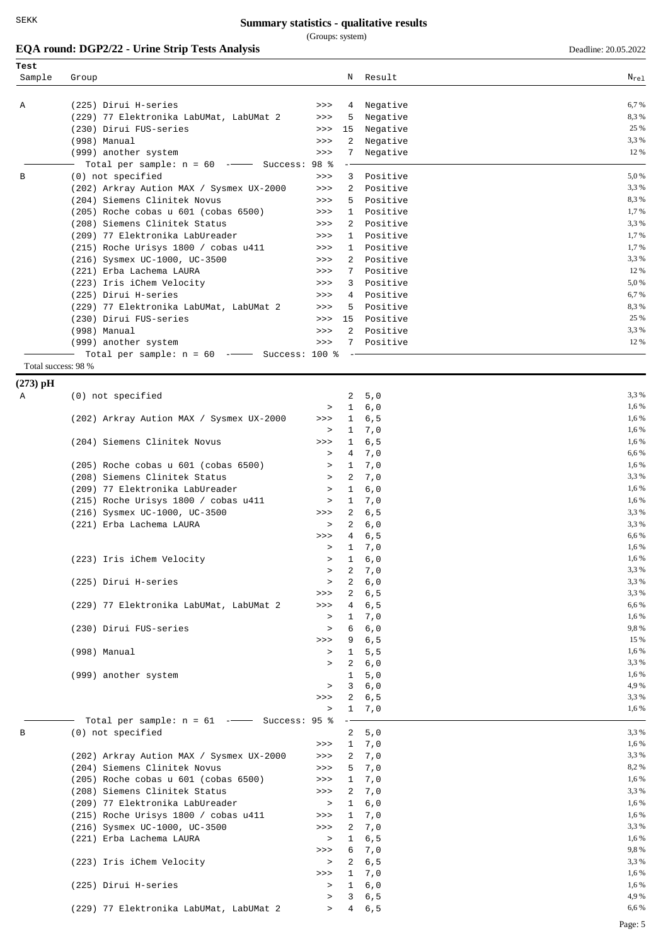(Groups: system)

# **EQA round: DGP2/22 - Urine Strip Tests Analysis** Deadline: 20.05.2022

| Test                |                                              |           |                |               |                   |
|---------------------|----------------------------------------------|-----------|----------------|---------------|-------------------|
| Sample              | Group                                        |           | Ν              | Result        | $\rm N_{\rm rel}$ |
|                     |                                              |           |                |               |                   |
| Α                   | (225) Dirui H-series                         | >>        | 4              | Negative      | 6,7%              |
|                     | (229) 77 Elektronika LabUMat, LabUMat 2      | >>        | 5              |               | 8,3%              |
|                     | (230) Dirui FUS-series                       |           |                | Negative      | 25 %              |
|                     |                                              | >>        | 15             | Negative      |                   |
|                     | (998) Manual                                 | >>        | 2              | Negative      | 3,3 %             |
|                     | (999) another system                         | >>        | 7              | Negative      | 12 %              |
|                     | Total per sample: $n = 60$ -- Success: 98 %  |           |                |               |                   |
| B                   | (0) not specified                            | >>        |                | 3 Positive    | 5,0%              |
|                     | (202) Arkray Aution MAX / Sysmex UX-2000     | >>        |                | 2 Positive    | 3,3 %             |
|                     | (204) Siemens Clinitek Novus                 | >>        | 5.             | Positive      | 8,3%              |
|                     | (205) Roche cobas u 601 (cobas 6500)         | >>        | 1              | Positive      | 1,7%              |
|                     | (208) Siemens Clinitek Status                | $>>>$     | 2              | Positive      | 3,3 %             |
|                     | (209) 77 Elektronika LabUreader              | $>>>$     |                | 1 Positive    | 1,7%              |
|                     | (215) Roche Urisys 1800 / cobas u411         | $>>>$     |                | 1 Positive    | 1,7%              |
|                     |                                              | >>        |                | 2 Positive    | 3,3 %             |
|                     | (216) Sysmex UC-1000, UC-3500                |           |                |               | 12 %              |
|                     | (221) Erba Lachema LAURA                     | $>>>$     | 7              | Positive      |                   |
|                     | (223) Iris iChem Velocity                    | $>>>$     |                | 3 Positive    | 5,0%              |
|                     | (225) Dirui H-series                         | $>>>$     |                | 4 Positive    | 6,7%              |
|                     | (229) 77 Elektronika LabUMat, LabUMat 2      | $>>>$     | 5              | Positive      | 8,3%              |
|                     | (230) Dirui FUS-series                       | >>        | 15             | Positive      | 25 %              |
|                     | (998) Manual                                 | >>        |                | 2 Positive    | 3,3 %             |
|                     | (999) another system                         | >>        |                | 7 Positive    | 12 %              |
|                     | Total per sample: $n = 60$ -- Success: 100 % |           |                |               |                   |
| Total success: 98 % |                                              |           |                |               |                   |
|                     |                                              |           |                |               |                   |
| $(273)$ pH          |                                              |           |                |               |                   |
| Α                   | (0) not specified                            |           | 2              | $5,0$         | 3,3 %             |
|                     |                                              | $\, >$    | 1              | 6,0           | 1,6 %             |
|                     | (202) Arkray Aution MAX / Sysmex UX-2000     | >>        | 1              | 6, 5          | 1,6 %             |
|                     |                                              | $\, >$    | $\mathbf{1}$   | 7,0           | 1,6 %             |
|                     | (204) Siemens Clinitek Novus                 | >>        | 1              | $6, 5$        | 1,6 %             |
|                     |                                              | $\, >$    | 4              | 7,0           | 6,6 %             |
|                     | (205) Roche cobas u 601 (cobas 6500)         |           | 1              | 7,0           | 1,6 %             |
|                     |                                              | $\, >$    |                |               |                   |
|                     | (208) Siemens Clinitek Status                | $\, >$    | 2              | 7,0           | 3,3 %             |
|                     | (209) 77 Elektronika LabUreader              | $\, >$    | 1              | 6,0           | 1,6 %             |
|                     | (215) Roche Urisys 1800 / cobas u411         | $\, >$    | 1              | 7,0           | 1,6 %             |
|                     | (216) Sysmex UC-1000, UC-3500                | $>>>$     | 2              | 6, 5          | 3,3 %             |
|                     | (221) Erba Lachema LAURA                     | $\, >$    | 2              | 6,0           | 3,3 %             |
|                     |                                              | >>        | 4              | 6, 5          | 6,6 %             |
|                     |                                              | $\, >$    | 1              | 7,0           | 1,6 %             |
|                     | (223) Iris iChem Velocity                    | $\, >$    | 1              | 6,0           | 1,6 %             |
|                     |                                              | $\, >$    | 2              | 7,0           | 3,3 %             |
|                     | (225) Dirui H-series                         | $\, >$    | $\overline{a}$ | $6,0$         | 3,3 %             |
|                     |                                              | >>        |                | 2, 6, 5       | 3,3 %             |
|                     | (229) 77 Elektronika LabUMat, LabUMat 2      | >>        |                | 4, 6, 5       | 6,6%              |
|                     |                                              | $\geq$    |                | 1, 7, 0       | 1,6%              |
|                     |                                              |           |                |               |                   |
|                     | (230) Dirui FUS-series                       | $\, >$    |                | 6, 6, 0       | 9,8%              |
|                     |                                              | >>        |                | 96,5          | 15 %              |
|                     | (998) Manual                                 | $\, >$    |                | 1, 5, 5       | 1,6 %             |
|                     |                                              | $\geq$    |                | 2, 6, 0       | 3,3%              |
|                     | (999) another system                         |           | 1              | 5,0           | 1,6 %             |
|                     |                                              | $\geq$    |                | 3, 6, 0       | 4,9%              |
|                     |                                              | >>        |                | 2, 6, 5       | 3,3 %             |
|                     |                                              | $\, >$    |                | 1, 7, 0       | 1,6 %             |
|                     | Total per sample: $n = 61$ -- Success: 95 %  |           |                |               |                   |
| В                   | (0) not specified                            |           | $\mathbf{2}$   | 5,0           | 3,3 %             |
|                     |                                              | >>>       |                | 1, 7, 0       | 1,6 %             |
|                     |                                              |           |                |               | 3,3 %             |
|                     | (202) Arkray Aution MAX / Sysmex UX-2000     | >>>       |                | 2, 7, 0       | 8,2%              |
|                     | (204) Siemens Clinitek Novus                 | >>>       |                | 5, 7, 0       |                   |
|                     | (205) Roche cobas u 601 (cobas 6500)         | >>>       |                | 1, 7, 0       | 1,6 %             |
|                     | (208) Siemens Clinitek Status                | >>>       |                | 2, 7, 0       | 3,3 %             |
|                     | (209) 77 Elektronika LabUreader              | >         |                | $1 \quad 6,0$ | 1,6%              |
|                     | (215) Roche Urisys 1800 / cobas u411         | >>>       |                | 1, 7, 0       | 1,6 %             |
|                     | (216) Sysmex UC-1000, UC-3500                | >>        |                | 2, 7, 0       | 3,3%              |
|                     | (221) Erba Lachema LAURA                     | $\,>$     |                | 1, 6, 5       | 1,6 %             |
|                     |                                              | >>        |                | 6, 7, 0       | 9,8%              |
|                     |                                              |           |                |               | 3,3%              |
|                     | (223) Iris iChem Velocity                    | $\geq$    |                | 2, 6, 5       |                   |
|                     |                                              | >>        |                | 1, 7, 0       | 1,6 %             |
|                     | (225) Dirui H-series                         | $\, > \,$ |                | $1 \quad 6,0$ | 1,6 %             |
|                     |                                              | $\, >$    |                | 3, 6, 5       | 4,9%              |
|                     | (229) 77 Elektronika LabUMat, LabUMat 2      | $\geq$    |                | 4 6, 5        | 6,6 %             |